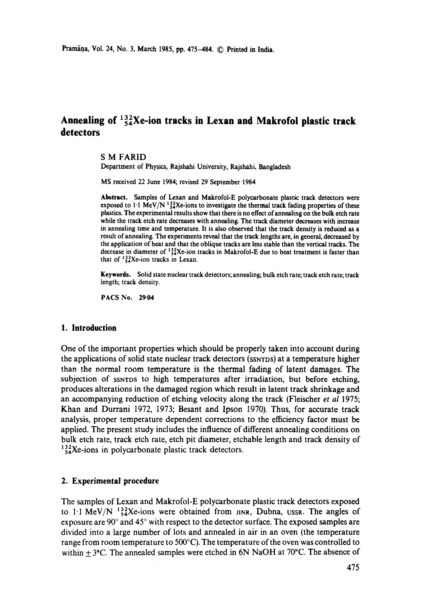# Annealing of  $\frac{132}{54}$ Xe-ion tracks in Lexan and Makrofol plastic track **detectors**

**S M** FARID

Department of Physics, Rajshahi University, Rajshahi, Bangladesh

MS received 22 June 1984; revised 29 September '1984

**Abstract.** Samples of Lexan and Makrofol-E polycarbonate plastic track detectors were exposed to  $1.1 \text{ MeV/N}$   $^{132}_{54}$ Xe-ions to investigate the thermal track fading properties of these plastics. The experimental results show that there is no effect of annealing on the bulk etch rate while the track etch rate decreases with annealing. The track diameter decreases with increase in annealing time and temperature. It is also observed that the track density is reduced as a result of annealing. The experiments reveal that the track lengths are, in general, decreased by the application of heat and that the oblique tracks are less stable than the vertical tracks. The decrease in diameter of  $^{132}_{54}$ Xe-ion tracks in Makrofol-E due to heat treatment is faster than that of  $^{132}_{54}$ Xe-ion tracks in Lexan.

**Keywords.** Solid state nuclear track detectors; annealing; bulk etch rate; track etch rate; track length; track density.

PACS No. 29-04

### **1. Introduction**

One of the important properties which should be properly taken into account during the applications of solid state nuclear track detectors (SSNTDS) at a temperature higher than the normal room temperature is the thermal fading of latent damages. The subjection of SSNTDS tO high temperatures after irradiation, but before etching, produces alterations in the damaged region which result in latent track shrinkage and an accompanying reduction of etching velocity along the track (Fleischer *et al* 1975; Khan and Durrani 1972, 1973; Besant and Ipson 1970). Thus, for accurate track analysis, proper temperature dependent corrections to the efficiency factor must be applied. The present study includes the influence of different annealing conditions on bulk etch rate, track etch rate, etch pit diameter, etchable length and track density of  $^{132}_{54}$ Xe-ions in polycarbonate plastic track detectors.

### **2. Experimental procedure**

The samples of Lexan and Makrofol-E polycarbonate plastic track detectors exposed to 1.1 MeV/N  $^{132}_{54}$ Xe-ions were obtained from JINR, Dubna, USSR. The angles of exposure are  $90^\circ$  and  $45^\circ$  with respect to the detector surface. The exposed samples are divided into a large number of lots and annealed in air in an oven (the temperature range from room temperature to 500°C). The temperature of the oven was controlled to within  $+3$ °C. The annealed samples were etched in 6N NaOH at 70°C. The absence of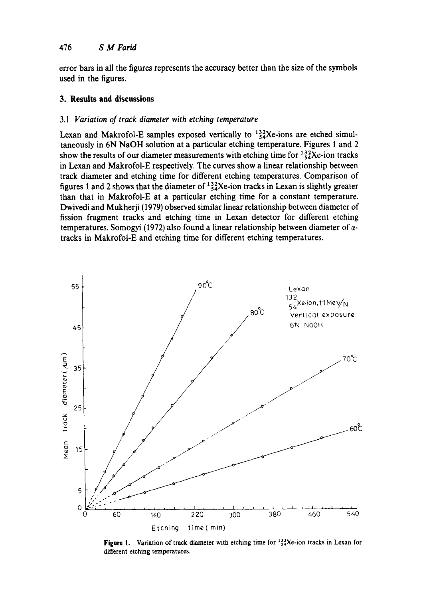## 476 *S M Farid*

error bars in all the figures represents the accuracy better than the size of the symbols used in the figures.

## **3. Results and discussions**

## 3.1 *Variation of track diameter with etching temperature*

Lexan and Makrofol-E samples exposed vertically to  $\frac{132}{54}$ Xe-ions are etched simultaneously in 6N NaOH solution at a particular etching temperature. Figures 1 and 2 show the results of our diameter measurements with etching time for  $\frac{132}{54}$ Xe-ion tracks in Lexan and Makrofol-E respectively. The curves show a linear relationship between track diameter and etching time for different etching temperatures. Comparison of figures 1 and 2 shows that the diameter of  $^{132}_{54}$ Xe-ion tracks in Lexan is slightly greater than that in Makrofol-E at a particular etching time for a constant temperature. Dwivedi and Mukherji (1979) observed similar linear relationship between diameter of fission fragment tracks and etching time in Lexan detector for different etching temperatures. Somogyi (1972) also found a linear relationship between diameter of  $\alpha$ tracks in Makrofol-E and etching time for different etching temperatures.



Figure 1. Variation of track diameter with etching time for  $\frac{132}{24}$ Xe-ion tracks in Lexan for different etching temperatures.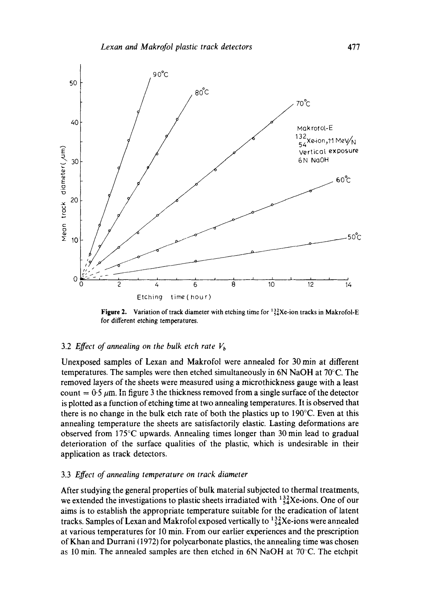

**Figure 2.** Variation of track diameter with etching time for  $^{132}_{54}$ Xe-ion tracks in Makrofol-E for different etching temperatures.

## 3.2 *Effect of annealing on the bulk etch rate*  $V<sub>b</sub>$

Unexposed samples of Lexan and Makrofol were annealed for 30 min at different temperatures. The samples were then etched simultaneously in 6N NaOH at 70°C. The removed layers of the sheets were measured using a microthickness gauge with a least count =  $0.5 \mu$ m. In figure 3 the thickness removed from a single surface of the detector is plotted as a function of etching time at two annealing temperatures. It is observed that there is no change in the bulk etch rate of both the plastics up to 190°C. Even at this annealing temperature the sheets are satisfactorily elastic. Lasting deformations are observed from 175°C upwards. Annealing times longer than 30 min lead to gradual deterioration of the surface qualities of the plastic, which is undesirable in their application as track detectors.

#### 3.3 *Effect of annealing temperature on track diameter*

After studying the general properties of bulk material subjected to thermal treatments, we extended the investigations to plastic sheets irradiated with  $^{132}_{54}$ Xe-ions. One of our aims is to establish the appropriate temperature suitable for the eradication of latent tracks. Samples of Lexan and Makrofol exposed vertically to  $^{132}_{54}$ Xe-ions were annealed at various temperatures for I0 min. From our earlier experiences and the prescription of Khan and Durrani (1972) for polycarbonate plastics, the annealing time was chosen as 10 min. The annealed samples are then etched in 6N NaOH at 70'C. The etchpit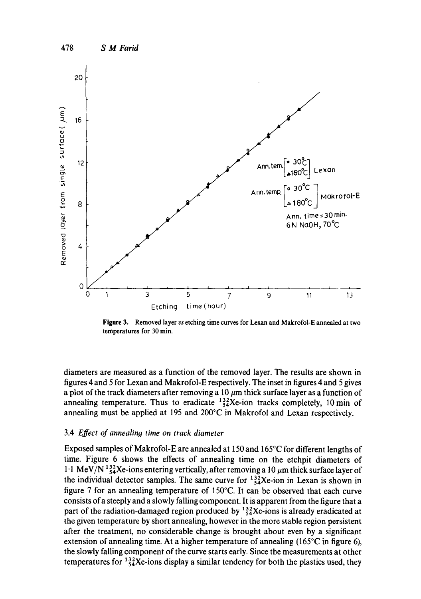

Figure 3. Removed layer *vs* etching time curves for Lexan and Makrofol-E annealed at two temperatures for 30 min.

diameters are measured as a function of the removed layer. The results are shown in figures 4 and 5 for Lexan and Makrofol-E respectively. The inset in figures 4 and 5 gives a plot of the track diameters after removing a 10  $\mu$ m thick surface layer as a function of annealing temperature. Thus to eradicate  $^{132}_{54}$ Xe-ion tracks completely, 10 min of annealing must be applied at 195 and 200°C in Makrofol and Lexan respectively.

#### 3.4 *Effect of annealing time on track diameter*

Exposed samples of Makrofol-E are annealed at 150 and 165°C for different lengths of time. Figure 6 shows the effects of annealing time on the etchpit diameters of 1.1 MeV/N  $^{132}_{54}$ Xe-ions entering vertically, after removing a 10  $\mu$ m thick surface layer of the individual detector samples. The same curve for  $^{132}_{24}$ Xe-ion in Lexan is shown in figure 7 for an annealing temperature of 150°C. It can be observed that each curve consists of a steeply and a slowly falling component. It is apparent from the figure that a part of the radiation-damaged region produced by  $^{132}_{54}Xe$ -ions is already eradicated at the given temperature by short annealing, however in the more stable region persistent after the treatment, no considerable change is brought about even by a significant extension of annealing time. At a higher temperature of annealing  $(165^{\circ}$ C in figure 6), the slowly falling component of the curve starts early. Since the measurements at other temperatures for  $\frac{132}{54}$ Xe-ions display a similar tendency for both the plastics used, they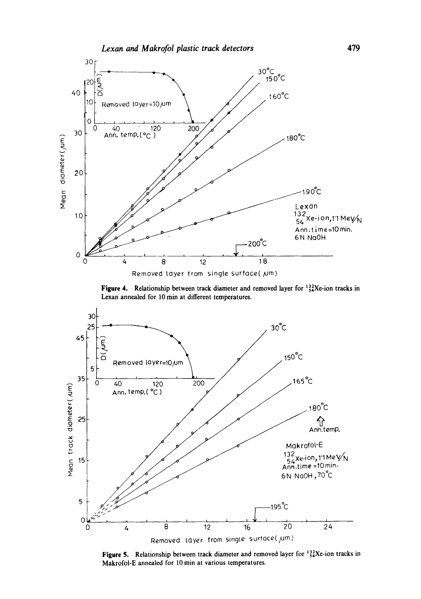

**Figure 4.** Relationship between track diameter and removed layer for <sup>132</sup><sub>54</sub>Xe-ion tracks in **Lexan annealed for 10 min at different temperatures.** 



**Figure 5.** Relationship between track diameter and removed layer for <sup>132</sup><sub>54</sub>Xe-ion tracks in Makrofol-E annealed for l0 min at various temperatures.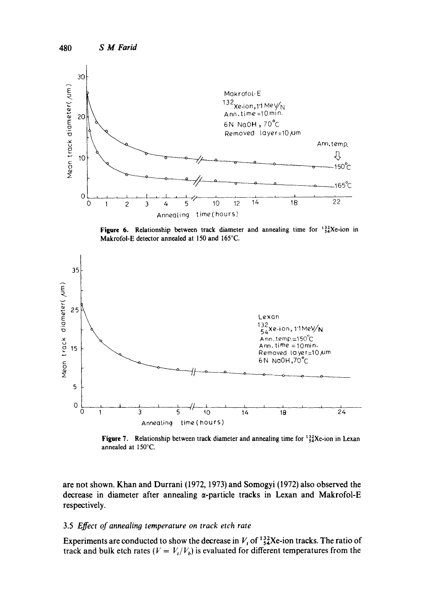

**Figure 6.** Relationship between track diameter and annealing time for  $^{132}_{54}$ Xe-ion in Makrofol-E **detector annealed at 150 and** 165°C.



**Figure 7.** Relationship between track diameter and annealing time for  $^{132}_{54}$ Xe-ion in Lexan **annealed at** 150°C.

are not shown. Khan and Durrani (1972, 1973) and Somogyi (1972) also observed the **decrease in diameter after annealing at-particle tracks in Lexan and Makrofol-E respectively.** 

#### **3.5** *Effect of annealing temperature on track etch rate*

Experiments are conducted to show the decrease in  $V_t$  of  $^{132}_{54}$ Xe-ion tracks. The ratio of track and bulk etch rates ( $V = V_i/V_b$ ) is evaluated for different temperatures from the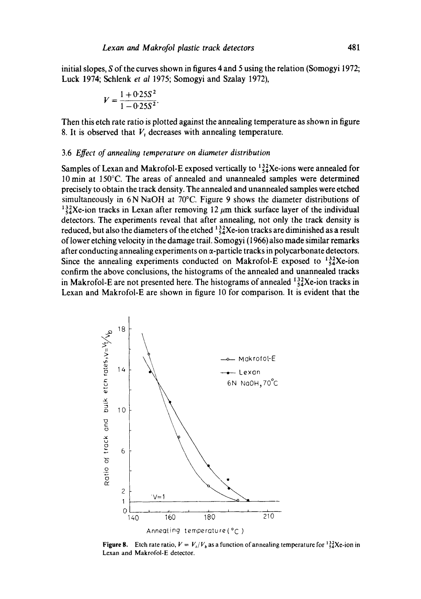**initial slopes, S of the curves shown in figures 4 and 5 using the relation (Somogyi 1972; Luck 1974; Schlenk** *et al* **1975; Somogyi and Szalay 1972),** 

$$
V = \frac{1 + 0.25S^2}{1 - 0.25S^2}.
$$

**Then this etch rate ratio is plotted against the annealing temperature as shown in figure 8. It is observed that** *V,* **decreases with annealing temperature.** 

#### **3.6** *Effect of annealing temperature on diameter distribution*

**Samples of Lexan and Makrofol-E exposed vertically to**  $\frac{132}{4}$ **Xe-ions were annealed for 10min at 150°C. The areas of annealed and unannealed samples were determined precisely to obtain the track density. The annealed and unannealed samples were etched simultaneously in 6N NaOH at 70°C. Figure 9 shows the diameter distributions of**   $\frac{132}{84}$ Xe-ion tracks in Lexan after removing 12  $\mu$ m thick surface layer of the individual **detectors. The experiments reveal that after annealing, not only the track density is**  reduced, but also the diameters of the etched  $\frac{132}{54}$ Xe-ion tracks are diminished as a result **of lower etching velocity in the damage trail. Somogyi (1966) also made similar remarks**  after conducting annealing experiments on  $\alpha$ -particle tracks in polycarbonate detectors. Since the annealing experiments conducted on Makrofol-E exposed to  $^{132}_{54}$ Xe-ion **confirm the above conclusions, the histograms of the annealed and unannealed tracks**  in Makrofol-E are not presented here. The histograms of annealed  $\frac{132}{54}$ Xe-ion tracks in **Lexan and Makrofol-E are shown in figure 10 for comparison. It is evident that the** 



**Figure 8.** Etch rate ratio,  $V = V_t/V_b$  as a function of annealing temperature for  $^{132}_{54}$ Xe-ion in **Lexan and Makrofol-E detector.**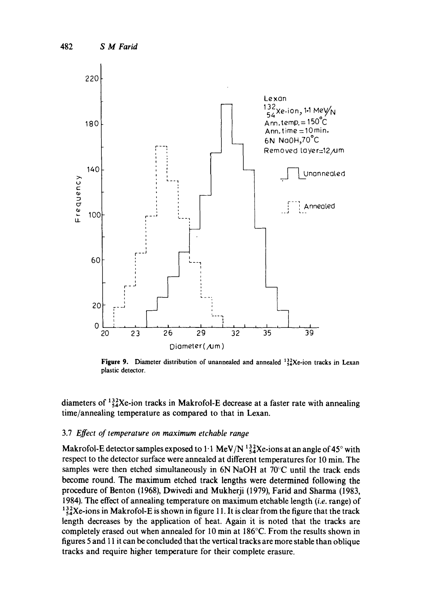

**Figure 9.** Diameter distribution of unannealed and annealed  $\frac{132}{34}$ Xe-ion tracks in Lexan plastic detector.

diameters of  $^{132}_{54}$ Xe-ion tracks in Makrofol-E decrease at a faster rate with annealing time/annealing temperature as compared to that in Lexan.

#### 3.7 *Effect of temperature on maximum etchable range*

Makrofol-E detector samples exposed to 1.1 MeV/N  $^{132}_{54}$ Xe-ions at an angle of 45° with respect to the detector surface were annealed at different temperatures for 10 min. The samples were then etched simultaneously in 6N NaOH at  $70^{\circ}$ C until the track ends become round. The maximum etched track lengths were determined following the procedure of Benton (1968), Dwivedi and Mukherji (1979), Farid and Sharma (1983, 1984). The effect of annealing temperature on maximum etchable length *(i.e.* range) of  $^{132}_{54}$ Xe-ions in Makrofol-E is shown in figure 11. It is clear from the figure that the track length decreases by the application of heat. Again it is noted that the tracks are completely erased out when annealed for 10 min at 186°C. From the results shown in figures 5 and 11 it can be concluded that the vertical tracks are more stable than oblique tracks and require higher temperature for their complete erasure.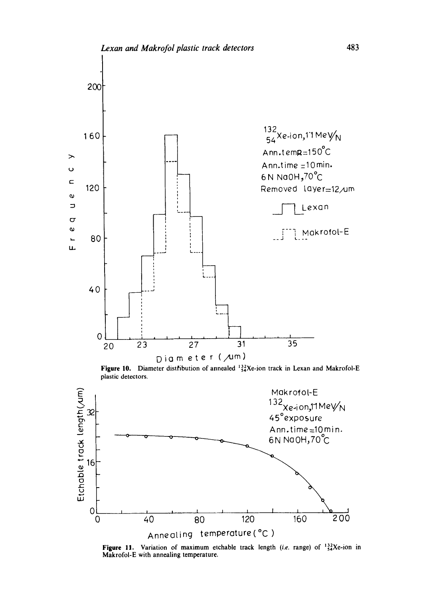

**Figure 10.** Diameter distribution of annealed  $^{122}_{24}$ Xe-ion track in Lexan and Makrofol-E plastic detectors.



Figure 11. Variation of maximum etchable track length *(i.e.* range) of  $^{132}_{54}Xe$ -ion in Makrofol-E with annealing temperature.